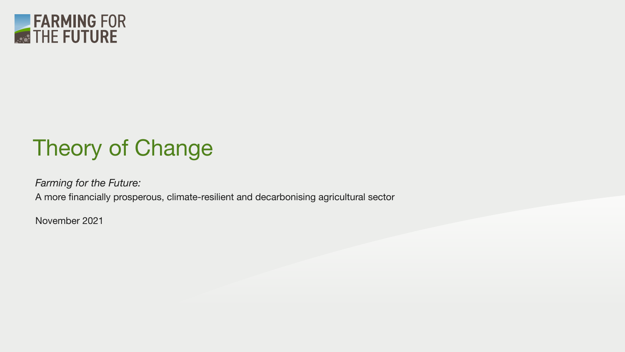

## Theory of Change

*Farming for the Future:* 

A more financially prosperous, climate-resilient and decarbonising agricultural sector

November 2021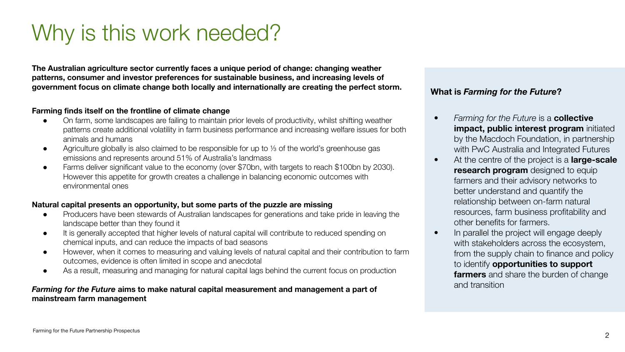### Why is this work needed?

**The Australian agriculture sector currently faces a unique period of change: changing weather patterns, consumer and investor preferences for sustainable business, and increasing levels of government focus on climate change both locally and internationally are creating the perfect storm.**

#### **Farming finds itself on the frontline of climate change**

- On farm, some landscapes are failing to maintain prior levels of productivity, whilst shifting weather patterns create additional volatility in farm business performance and increasing welfare issues for both animals and humans
- Agriculture globally is also claimed to be responsible for up to ⅓ of the world's greenhouse gas emissions and represents around 51% of Australia's landmass
- Farms deliver significant value to the economy (over \$70bn, with targets to reach \$100bn by 2030). However this appetite for growth creates a challenge in balancing economic outcomes with environmental ones

#### **Natural capital presents an opportunity, but some parts of the puzzle are missing**

- Producers have been stewards of Australian landscapes for generations and take pride in leaving the landscape better than they found it
- It is generally accepted that higher levels of natural capital will contribute to reduced spending on chemical inputs, and can reduce the impacts of bad seasons
- However, when it comes to measuring and valuing levels of natural capital and their contribution to farm outcomes, evidence is often limited in scope and anecdotal
- As a result, measuring and managing for natural capital lags behind the current focus on production

#### *Farming for the Future* **aims to make natural capital measurement and management a part of mainstream farm management**

### **What is** *Farming for the Future***?**

- *Farming for the Future* is a **collective impact, public interest program** initiated by the Macdoch Foundation, in partnership with PwC Australia and Integrated Futures
- At the centre of the project is a **large-scale research program** designed to equip farmers and their advisory networks to better understand and quantify the relationship between on-farm natural resources, farm business profitability and other benefits for farmers.
- In parallel the project will engage deeply with stakeholders across the ecosystem, from the supply chain to finance and policy to identify **opportunities to support farmers** and share the burden of change and transition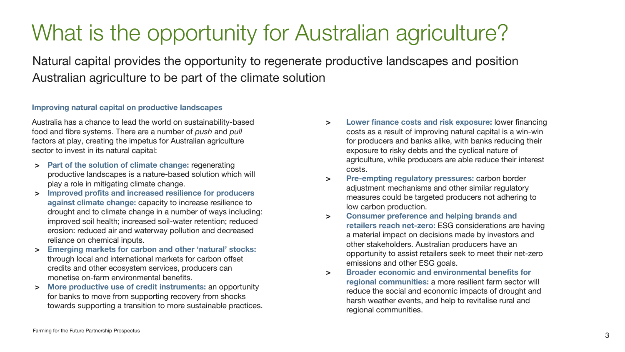### What is the opportunity for Australian agriculture?

Natural capital provides the opportunity to regenerate productive landscapes and position Australian agriculture to be part of the climate solution

#### **Improving natural capital on productive landscapes**

Australia has a chance to lead the world on sustainability-based food and fibre systems. There are a number of *push* and *pull*  factors at play, creating the impetus for Australian agriculture sector to invest in its natural capital:

- **> Part of the solution of climate change:** regenerating productive landscapes is a nature-based solution which will play a role in mitigating climate change.
- **> Improved profits and increased resilience for producers against climate change:** capacity to increase resilience to drought and to climate change in a number of ways including: improved soil health; increased soil-water retention; reduced erosion: reduced air and waterway pollution and decreased reliance on chemical inputs.
- **> Emerging markets for carbon and other 'natural' stocks:**  through local and international markets for carbon offset credits and other ecosystem services, producers can monetise on-farm environmental benefits.
- **> More productive use of credit instruments:** an opportunity for banks to move from supporting recovery from shocks towards supporting a transition to more sustainable practices.
- **> Lower finance costs and risk exposure:** lower financing costs as a result of improving natural capital is a win-win for producers and banks alike, with banks reducing their exposure to risky debts and the cyclical nature of agriculture, while producers are able reduce their interest costs.
- **> Pre-empting regulatory pressures:** carbon border adjustment mechanisms and other similar regulatory measures could be targeted producers not adhering to low carbon production.
- **> Consumer preference and helping brands and retailers reach net-zero:** ESG considerations are having a material impact on decisions made by investors and other stakeholders. Australian producers have an opportunity to assist retailers seek to meet their net-zero emissions and other ESG goals.
- **> Broader economic and environmental benefits for regional communities:** a more resilient farm sector will reduce the social and economic impacts of drought and harsh weather events, and help to revitalise rural and regional communities.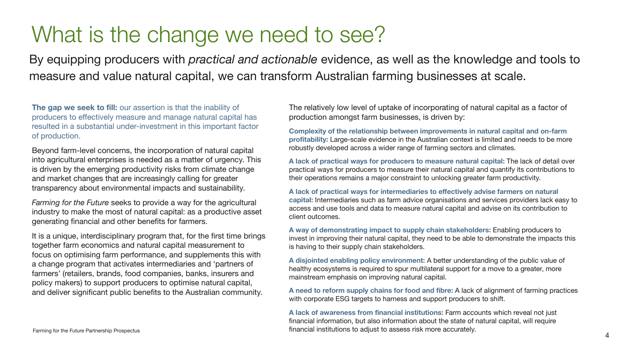### What is the change we need to see?

By equipping producers with *practical and actionable* evidence, as well as the knowledge and tools to measure and value natural capital, we can transform Australian farming businesses at scale.

**The gap we seek to fill:** our assertion is that the inability of producers to effectively measure and manage natural capital has resulted in a substantial under-investment in this important factor of production.

Beyond farm-level concerns, the incorporation of natural capital into agricultural enterprises is needed as a matter of urgency. This is driven by the emerging productivity risks from climate change and market changes that are increasingly calling for greater transparency about environmental impacts and sustainability.

*Farming for the Future* seeks to provide a way for the agricultural industry to make the most of natural capital: as a productive asset generating financial and other benefits for farmers.

It is a unique, interdisciplinary program that, for the first time brings together farm economics and natural capital measurement to focus on optimising farm performance, and supplements this with a change program that activates intermediaries and 'partners of farmers' (retailers, brands, food companies, banks, insurers and policy makers) to support producers to optimise natural capital, and deliver significant public benefits to the Australian community.

The relatively low level of uptake of incorporating of natural capital as a factor of production amongst farm businesses, is driven by:

**Complexity of the relationship between improvements in natural capital and on-farm profitability:** Large-scale evidence in the Australian context is limited and needs to be more robustly developed across a wider range of farming sectors and climates.

**A lack of practical ways for producers to measure natural capital:** The lack of detail over practical ways for producers to measure their natural capital and quantify its contributions to their operations remains a major constraint to unlocking greater farm productivity.

**A lack of practical ways for intermediaries to effectively advise farmers on natural capital:** Intermediaries such as farm advice organisations and services providers lack easy to access and use tools and data to measure natural capital and advise on its contribution to client outcomes.

**A way of demonstrating impact to supply chain stakeholders:** Enabling producers to invest in improving their natural capital, they need to be able to demonstrate the impacts this is having to their supply chain stakeholders.

**A disjointed enabling policy environment:** A better understanding of the public value of healthy ecosystems is required to spur multilateral support for a move to a greater, more mainstream emphasis on improving natural capital.

**A need to reform supply chains for food and fibre:** A lack of alignment of farming practices with corporate ESG targets to harness and support producers to shift.

**A lack of awareness from financial institutions:** Farm accounts which reveal not just financial information, but also information about the state of natural capital, will require financial institutions to adjust to assess risk more accurately.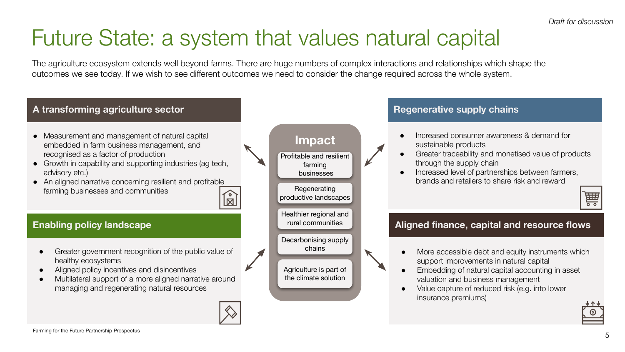*Draft for discussion*

### Future State: a system that values natural capital

The agriculture ecosystem extends well beyond farms. There are huge numbers of complex interactions and relationships which shape the outcomes we see today. If we wish to see different outcomes we need to consider the change required across the whole system.

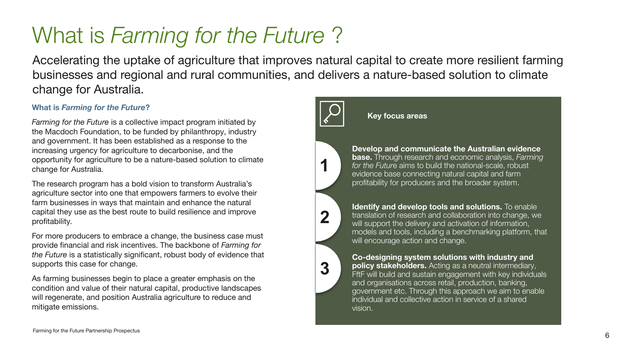### What is *Farming for the Future* ?

Accelerating the uptake of agriculture that improves natural capital to create more resilient farming businesses and regional and rural communities, and delivers a nature-based solution to climate change for Australia.

### **What is** *Farming for the Future***?**

*Farming for the Future* is a collective impact program initiated by the Macdoch Foundation, to be funded by philanthropy, industry and government. It has been established as a response to the increasing urgency for agriculture to decarbonise, and the opportunity for agriculture to be a nature-based solution to climate change for Australia.

The research program has a bold vision to transform Australia's agriculture sector into one that empowers farmers to evolve their farm businesses in ways that maintain and enhance the natural capital they use as the best route to build resilience and improve profitability.

For more producers to embrace a change, the business case must provide financial and risk incentives. The backbone of *Farming for the Future* is a statistically significant, robust body of evidence that supports this case for change.

As farming businesses begin to place a greater emphasis on the condition and value of their natural capital, productive landscapes will regenerate, and position Australia agriculture to reduce and mitigate emissions.



#### **Key focus areas**



2.

**2**

**3**

**Develop and communicate the Australian evidence base.** Through research and economic analysis, *Farming for the Futur*e aims to build the national-scale, robust evidence base connecting natural capital and farm profitability for producers and the broader system.

**Identify and develop tools and solutions.** To enable translation of research and collaboration into change, we will support the delivery and activation of information, models and tools, including a benchmarking platform, that will encourage action and change.

**3. Co-designing system solutions with industry and policy stakeholders.** Acting as a neutral intermediary, FftF will build and sustain engagement with key individuals and organisations across retail, production, banking, government etc. Through this approach we aim to enable individual and collective action in service of a shared vision.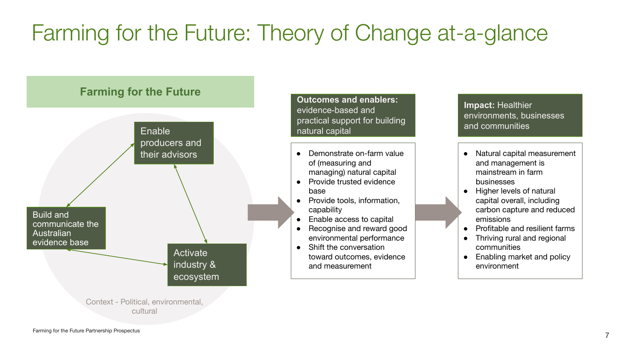# Farming for the Future: Theory of Change at-a-glance